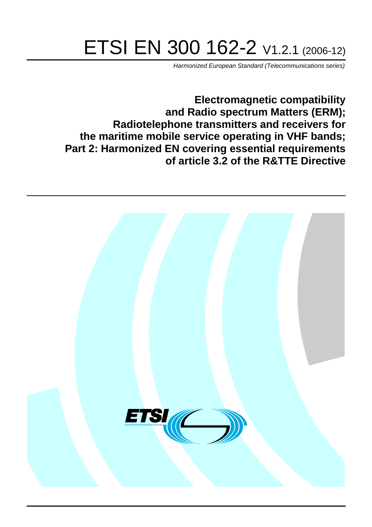# ETSI EN 300 162-2 V1.2.1 (2006-12)

Harmonized European Standard (Telecommunications series)

**Electromagnetic compatibility and Radio spectrum Matters (ERM); Radiotelephone transmitters and receivers for the maritime mobile service operating in VHF bands; Part 2: Harmonized EN covering essential requirements of article 3.2 of the R&TTE Directive**

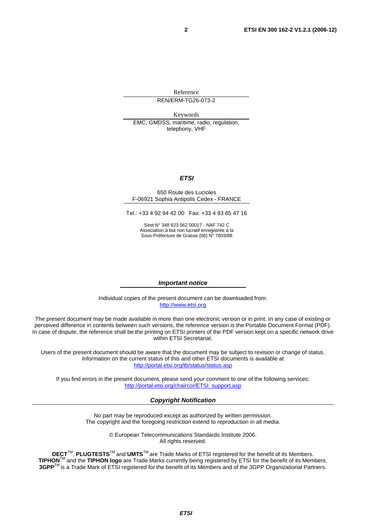Reference REN/ERM-TG26-073-2

Keywords

EMC, GMDSS, maritime, radio, regulation, telephony, VHF

#### **ETSI**

#### 650 Route des Lucioles F-06921 Sophia Antipolis Cedex - FRANCE

Tel.: +33 4 92 94 42 00 Fax: +33 4 93 65 47 16

Siret N° 348 623 562 00017 - NAF 742 C Association à but non lucratif enregistrée à la Sous-Préfecture de Grasse (06) N° 7803/88

#### **Important notice**

Individual copies of the present document can be downloaded from: [http://www.etsi.org](http://www.etsi.org/)

The present document may be made available in more than one electronic version or in print. In any case of existing or perceived difference in contents between such versions, the reference version is the Portable Document Format (PDF). In case of dispute, the reference shall be the printing on ETSI printers of the PDF version kept on a specific network drive within ETSI Secretariat.

Users of the present document should be aware that the document may be subject to revision or change of status. Information on the current status of this and other ETSI documents is available at <http://portal.etsi.org/tb/status/status.asp>

If you find errors in the present document, please send your comment to one of the following services: [http://portal.etsi.org/chaircor/ETSI\\_support.asp](http://portal.etsi.org/chaircor/ETSI_support.asp)

#### **Copyright Notification**

No part may be reproduced except as authorized by written permission. The copyright and the foregoing restriction extend to reproduction in all media.

> © European Telecommunications Standards Institute 2006. All rights reserved.

**DECT**TM, **PLUGTESTS**TM and **UMTS**TM are Trade Marks of ETSI registered for the benefit of its Members. **TIPHON**TM and the **TIPHON logo** are Trade Marks currently being registered by ETSI for the benefit of its Members. **3GPP**TM is a Trade Mark of ETSI registered for the benefit of its Members and of the 3GPP Organizational Partners.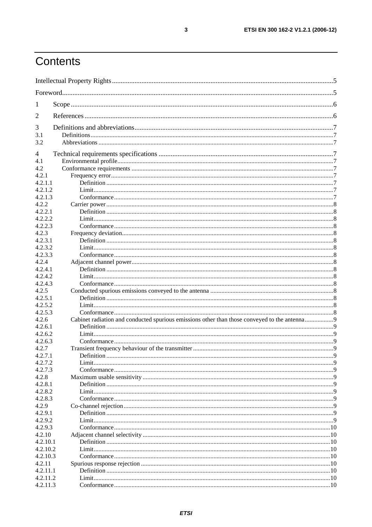## Contents

| 1                  |                                                                                              |             |
|--------------------|----------------------------------------------------------------------------------------------|-------------|
| 2                  |                                                                                              |             |
| 3                  |                                                                                              |             |
| 3.1                |                                                                                              |             |
| 3.2                |                                                                                              |             |
| 4                  |                                                                                              |             |
| 4.1                |                                                                                              |             |
| 4.2                |                                                                                              |             |
| 4.2.1              |                                                                                              |             |
| 4.2.1.1            |                                                                                              |             |
| 4.2.1.2            |                                                                                              |             |
| 4.2.1.3            |                                                                                              |             |
| 4.2.2              |                                                                                              |             |
| 4.2.2.1            |                                                                                              |             |
| 4.2.2.2            |                                                                                              |             |
| 4.2.2.3            |                                                                                              |             |
| 4.2.3              |                                                                                              |             |
| 4.2.3.1            |                                                                                              |             |
| 4.2.3.2            |                                                                                              |             |
| 4.2.3.3            |                                                                                              |             |
| 4.2.4              |                                                                                              |             |
| 4.2.4.1            |                                                                                              |             |
| 4.2.4.2            |                                                                                              |             |
| 4.2.4.3<br>4.2.5   |                                                                                              |             |
| 4.2.5.1            |                                                                                              |             |
| 4.2.5.2            |                                                                                              |             |
| 4.2.5.3            |                                                                                              |             |
| 4.2.6              | Cabinet radiation and conducted spurious emissions other than those conveyed to the antenna9 |             |
| 4.2.6.1            |                                                                                              |             |
| 4.2.6.2            |                                                                                              |             |
| 4.2.6.3            |                                                                                              |             |
| 4.2.7              |                                                                                              |             |
| 4.2.7.1            | Definition                                                                                   | $\mathbf Q$ |
| 4.2.7.2            |                                                                                              |             |
| 4.2.7.3            |                                                                                              |             |
| 4.2.8              |                                                                                              |             |
| 4.2.8.1            |                                                                                              |             |
| 4.2.8.2            |                                                                                              |             |
| 4.2.8.3            |                                                                                              |             |
| 4.2.9              |                                                                                              |             |
| 4.2.9.1            |                                                                                              |             |
| 4.2.9.2<br>4.2.9.3 |                                                                                              |             |
| 4.2.10             |                                                                                              |             |
| 4.2.10.1           |                                                                                              |             |
| 4.2.10.2           |                                                                                              |             |
| 4.2.10.3           |                                                                                              |             |
| 4.2.11             |                                                                                              |             |
| 4.2.11.1           |                                                                                              |             |
| 4.2.11.2           |                                                                                              |             |
| 4.2.11.3           |                                                                                              |             |
|                    |                                                                                              |             |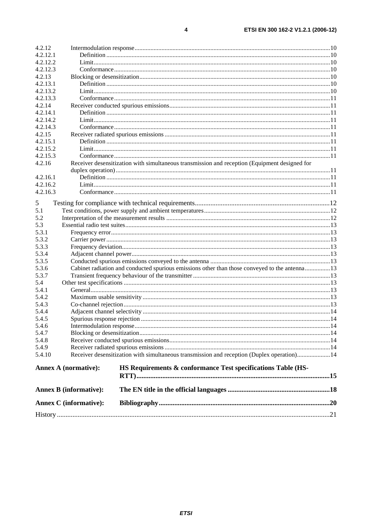$\overline{\mathbf{4}}$ 

| 4.2.12.1<br>4.2.12.2<br>4.2.12.3<br>4.2.13<br>4.2.13.1<br>4.2.13.2<br>4.2.13.3<br>4.2.14<br>4.2.14.1<br>4.2.14.2<br>4.2.14.3<br>4.2.15<br>4.2.15.1<br>4.2.15.2<br>4.2.15.3<br>Receiver desensitization with simultaneous transmission and reception (Equipment designed for<br>4.2.16<br>4.2.16.1<br>4.2.16.2<br>4.2.16.3<br>5<br>5.1<br>5.2<br>5.3<br>5.3.1<br>5.3.2<br>5.3.3<br>5.3.4<br>5.3.5<br>Cabinet radiation and conducted spurious emissions other than those conveyed to the antenna13<br>5.3.6<br>5.3.7<br>5.4<br>5.4.1<br>5.4.2<br>5.4.3<br>5.4.4<br>5.4.5<br>5.4.6<br>5.4.7<br>5.4.8<br>5.4.9<br>Receiver desensitization with simultaneous transmission and reception (Duplex operation)14<br>5.4.10<br><b>Annex A (normative):</b><br>HS Requirements & conformance Test specifications Table (HS-<br><b>Annex B</b> (informative):<br><b>Annex C</b> (informative): | 4.2.12 |  |  |  |  |  |  |  |
|--------------------------------------------------------------------------------------------------------------------------------------------------------------------------------------------------------------------------------------------------------------------------------------------------------------------------------------------------------------------------------------------------------------------------------------------------------------------------------------------------------------------------------------------------------------------------------------------------------------------------------------------------------------------------------------------------------------------------------------------------------------------------------------------------------------------------------------------------------------------------------------|--------|--|--|--|--|--|--|--|
|                                                                                                                                                                                                                                                                                                                                                                                                                                                                                                                                                                                                                                                                                                                                                                                                                                                                                      |        |  |  |  |  |  |  |  |
|                                                                                                                                                                                                                                                                                                                                                                                                                                                                                                                                                                                                                                                                                                                                                                                                                                                                                      |        |  |  |  |  |  |  |  |
|                                                                                                                                                                                                                                                                                                                                                                                                                                                                                                                                                                                                                                                                                                                                                                                                                                                                                      |        |  |  |  |  |  |  |  |
|                                                                                                                                                                                                                                                                                                                                                                                                                                                                                                                                                                                                                                                                                                                                                                                                                                                                                      |        |  |  |  |  |  |  |  |
|                                                                                                                                                                                                                                                                                                                                                                                                                                                                                                                                                                                                                                                                                                                                                                                                                                                                                      |        |  |  |  |  |  |  |  |
|                                                                                                                                                                                                                                                                                                                                                                                                                                                                                                                                                                                                                                                                                                                                                                                                                                                                                      |        |  |  |  |  |  |  |  |
|                                                                                                                                                                                                                                                                                                                                                                                                                                                                                                                                                                                                                                                                                                                                                                                                                                                                                      |        |  |  |  |  |  |  |  |
|                                                                                                                                                                                                                                                                                                                                                                                                                                                                                                                                                                                                                                                                                                                                                                                                                                                                                      |        |  |  |  |  |  |  |  |
|                                                                                                                                                                                                                                                                                                                                                                                                                                                                                                                                                                                                                                                                                                                                                                                                                                                                                      |        |  |  |  |  |  |  |  |
|                                                                                                                                                                                                                                                                                                                                                                                                                                                                                                                                                                                                                                                                                                                                                                                                                                                                                      |        |  |  |  |  |  |  |  |
|                                                                                                                                                                                                                                                                                                                                                                                                                                                                                                                                                                                                                                                                                                                                                                                                                                                                                      |        |  |  |  |  |  |  |  |
|                                                                                                                                                                                                                                                                                                                                                                                                                                                                                                                                                                                                                                                                                                                                                                                                                                                                                      |        |  |  |  |  |  |  |  |
|                                                                                                                                                                                                                                                                                                                                                                                                                                                                                                                                                                                                                                                                                                                                                                                                                                                                                      |        |  |  |  |  |  |  |  |
|                                                                                                                                                                                                                                                                                                                                                                                                                                                                                                                                                                                                                                                                                                                                                                                                                                                                                      |        |  |  |  |  |  |  |  |
|                                                                                                                                                                                                                                                                                                                                                                                                                                                                                                                                                                                                                                                                                                                                                                                                                                                                                      |        |  |  |  |  |  |  |  |
|                                                                                                                                                                                                                                                                                                                                                                                                                                                                                                                                                                                                                                                                                                                                                                                                                                                                                      |        |  |  |  |  |  |  |  |
|                                                                                                                                                                                                                                                                                                                                                                                                                                                                                                                                                                                                                                                                                                                                                                                                                                                                                      |        |  |  |  |  |  |  |  |
|                                                                                                                                                                                                                                                                                                                                                                                                                                                                                                                                                                                                                                                                                                                                                                                                                                                                                      |        |  |  |  |  |  |  |  |
|                                                                                                                                                                                                                                                                                                                                                                                                                                                                                                                                                                                                                                                                                                                                                                                                                                                                                      |        |  |  |  |  |  |  |  |
|                                                                                                                                                                                                                                                                                                                                                                                                                                                                                                                                                                                                                                                                                                                                                                                                                                                                                      |        |  |  |  |  |  |  |  |
|                                                                                                                                                                                                                                                                                                                                                                                                                                                                                                                                                                                                                                                                                                                                                                                                                                                                                      |        |  |  |  |  |  |  |  |
|                                                                                                                                                                                                                                                                                                                                                                                                                                                                                                                                                                                                                                                                                                                                                                                                                                                                                      |        |  |  |  |  |  |  |  |
|                                                                                                                                                                                                                                                                                                                                                                                                                                                                                                                                                                                                                                                                                                                                                                                                                                                                                      |        |  |  |  |  |  |  |  |
|                                                                                                                                                                                                                                                                                                                                                                                                                                                                                                                                                                                                                                                                                                                                                                                                                                                                                      |        |  |  |  |  |  |  |  |
|                                                                                                                                                                                                                                                                                                                                                                                                                                                                                                                                                                                                                                                                                                                                                                                                                                                                                      |        |  |  |  |  |  |  |  |
|                                                                                                                                                                                                                                                                                                                                                                                                                                                                                                                                                                                                                                                                                                                                                                                                                                                                                      |        |  |  |  |  |  |  |  |
|                                                                                                                                                                                                                                                                                                                                                                                                                                                                                                                                                                                                                                                                                                                                                                                                                                                                                      |        |  |  |  |  |  |  |  |
|                                                                                                                                                                                                                                                                                                                                                                                                                                                                                                                                                                                                                                                                                                                                                                                                                                                                                      |        |  |  |  |  |  |  |  |
|                                                                                                                                                                                                                                                                                                                                                                                                                                                                                                                                                                                                                                                                                                                                                                                                                                                                                      |        |  |  |  |  |  |  |  |
|                                                                                                                                                                                                                                                                                                                                                                                                                                                                                                                                                                                                                                                                                                                                                                                                                                                                                      |        |  |  |  |  |  |  |  |
|                                                                                                                                                                                                                                                                                                                                                                                                                                                                                                                                                                                                                                                                                                                                                                                                                                                                                      |        |  |  |  |  |  |  |  |
|                                                                                                                                                                                                                                                                                                                                                                                                                                                                                                                                                                                                                                                                                                                                                                                                                                                                                      |        |  |  |  |  |  |  |  |
|                                                                                                                                                                                                                                                                                                                                                                                                                                                                                                                                                                                                                                                                                                                                                                                                                                                                                      |        |  |  |  |  |  |  |  |
|                                                                                                                                                                                                                                                                                                                                                                                                                                                                                                                                                                                                                                                                                                                                                                                                                                                                                      |        |  |  |  |  |  |  |  |
|                                                                                                                                                                                                                                                                                                                                                                                                                                                                                                                                                                                                                                                                                                                                                                                                                                                                                      |        |  |  |  |  |  |  |  |
|                                                                                                                                                                                                                                                                                                                                                                                                                                                                                                                                                                                                                                                                                                                                                                                                                                                                                      |        |  |  |  |  |  |  |  |
|                                                                                                                                                                                                                                                                                                                                                                                                                                                                                                                                                                                                                                                                                                                                                                                                                                                                                      |        |  |  |  |  |  |  |  |
|                                                                                                                                                                                                                                                                                                                                                                                                                                                                                                                                                                                                                                                                                                                                                                                                                                                                                      |        |  |  |  |  |  |  |  |
|                                                                                                                                                                                                                                                                                                                                                                                                                                                                                                                                                                                                                                                                                                                                                                                                                                                                                      |        |  |  |  |  |  |  |  |
|                                                                                                                                                                                                                                                                                                                                                                                                                                                                                                                                                                                                                                                                                                                                                                                                                                                                                      |        |  |  |  |  |  |  |  |
|                                                                                                                                                                                                                                                                                                                                                                                                                                                                                                                                                                                                                                                                                                                                                                                                                                                                                      |        |  |  |  |  |  |  |  |
|                                                                                                                                                                                                                                                                                                                                                                                                                                                                                                                                                                                                                                                                                                                                                                                                                                                                                      |        |  |  |  |  |  |  |  |
|                                                                                                                                                                                                                                                                                                                                                                                                                                                                                                                                                                                                                                                                                                                                                                                                                                                                                      |        |  |  |  |  |  |  |  |
|                                                                                                                                                                                                                                                                                                                                                                                                                                                                                                                                                                                                                                                                                                                                                                                                                                                                                      |        |  |  |  |  |  |  |  |
|                                                                                                                                                                                                                                                                                                                                                                                                                                                                                                                                                                                                                                                                                                                                                                                                                                                                                      |        |  |  |  |  |  |  |  |
|                                                                                                                                                                                                                                                                                                                                                                                                                                                                                                                                                                                                                                                                                                                                                                                                                                                                                      |        |  |  |  |  |  |  |  |
|                                                                                                                                                                                                                                                                                                                                                                                                                                                                                                                                                                                                                                                                                                                                                                                                                                                                                      |        |  |  |  |  |  |  |  |
|                                                                                                                                                                                                                                                                                                                                                                                                                                                                                                                                                                                                                                                                                                                                                                                                                                                                                      |        |  |  |  |  |  |  |  |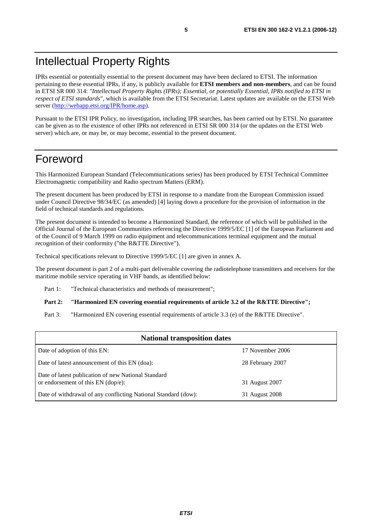## Intellectual Property Rights

IPRs essential or potentially essential to the present document may have been declared to ETSI. The information pertaining to these essential IPRs, if any, is publicly available for **ETSI members and non-members**, and can be found in ETSI SR 000 314: *"Intellectual Property Rights (IPRs); Essential, or potentially Essential, IPRs notified to ETSI in respect of ETSI standards"*, which is available from the ETSI Secretariat. Latest updates are available on the ETSI Web server [\(http://webapp.etsi.org/IPR/home.asp](http://webapp.etsi.org/IPR/home.asp)).

Pursuant to the ETSI IPR Policy, no investigation, including IPR searches, has been carried out by ETSI. No guarantee can be given as to the existence of other IPRs not referenced in ETSI SR 000 314 (or the updates on the ETSI Web server) which are, or may be, or may become, essential to the present document.

## Foreword

This Harmonized European Standard (Telecommunications series) has been produced by ETSI Technical Committee Electromagnetic compatibility and Radio spectrum Matters (ERM).

The present document has been produced by ETSI in response to a mandate from the European Commission issued under Council Directive 98/34/EC (as amended) [4] laying down a procedure for the provision of information in the field of technical standards and regulations.

The present document is intended to become a Harmonized Standard, the reference of which will be published in the Official Journal of the European Communities referencing the Directive 1999/5/EC [1] of the European Parliament and of the Council of 9 March 1999 on radio equipment and telecommunications terminal equipment and the mutual recognition of their conformity ("the R&TTE Directive").

Technical specifications relevant to Directive 1999/5/EC [1] are given in annex A.

The present document is part 2 of a multi-part deliverable covering the radiotelephone transmitters and receivers for the maritime mobile service operating in VHF bands, as identified below:

Part 1: "Technical characteristics and methods of measurement";

#### **Part 2: "Harmonized EN covering essential requirements of article 3.2 of the R&TTE Directive";**

Part 3: "Harmonized EN covering essential requirements of article 3.3 (e) of the R&TTE Directive".

| <b>National transposition dates</b>                                                       |                  |  |  |  |  |
|-------------------------------------------------------------------------------------------|------------------|--|--|--|--|
| Date of adoption of this EN:                                                              | 17 November 2006 |  |  |  |  |
| Date of latest announcement of this EN (doa):                                             | 28 February 2007 |  |  |  |  |
| Date of latest publication of new National Standard<br>or endorsement of this EN (dop/e): | 31 August 2007   |  |  |  |  |
| Date of withdrawal of any conflicting National Standard (dow):                            | 31 August 2008   |  |  |  |  |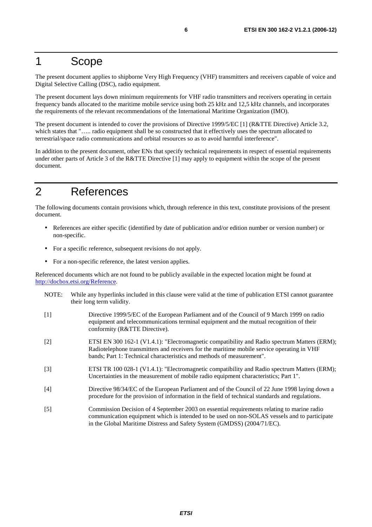## 1 Scope

The present document applies to shipborne Very High Frequency (VHF) transmitters and receivers capable of voice and Digital Selective Calling (DSC), radio equipment.

The present document lays down minimum requirements for VHF radio transmitters and receivers operating in certain frequency bands allocated to the maritime mobile service using both 25 kHz and 12,5 kHz channels, and incorporates the requirements of the relevant recommendations of the International Maritime Organization (IMO).

The present document is intended to cover the provisions of Directive 1999/5/EC [1] (R&TTE Directive) Article 3.2, which states that "..... radio equipment shall be so constructed that it effectively uses the spectrum allocated to terrestrial/space radio communications and orbital resources so as to avoid harmful interference".

In addition to the present document, other ENs that specify technical requirements in respect of essential requirements under other parts of Article 3 of the R&TTE Directive [1] may apply to equipment within the scope of the present document.

## 2 References

The following documents contain provisions which, through reference in this text, constitute provisions of the present document.

- References are either specific (identified by date of publication and/or edition number or version number) or non-specific.
- For a specific reference, subsequent revisions do not apply.
- For a non-specific reference, the latest version applies.

Referenced documents which are not found to be publicly available in the expected location might be found at <http://docbox.etsi.org/Reference>.

- NOTE: While any hyperlinks included in this clause were valid at the time of publication ETSI cannot guarantee their long term validity.
- [1] Directive 1999/5/EC of the European Parliament and of the Council of 9 March 1999 on radio equipment and telecommunications terminal equipment and the mutual recognition of their conformity (R&TTE Directive).
- [2] ETSI EN 300 162-1 (V1.4.1): "Electromagnetic compatibility and Radio spectrum Matters (ERM); Radiotelephone transmitters and receivers for the maritime mobile service operating in VHF bands; Part 1: Technical characteristics and methods of measurement".
- [3] ETSI TR 100 028-1 (V1.4.1): "Electromagnetic compatibility and Radio spectrum Matters (ERM); Uncertainties in the measurement of mobile radio equipment characteristics; Part 1".
- [4] Directive 98/34/EC of the European Parliament and of the Council of 22 June 1998 laying down a procedure for the provision of information in the field of technical standards and regulations.
- [5] Commission Decision of 4 September 2003 on essential requirements relating to marine radio communication equipment which is intended to be used on non-SOLAS vessels and to participate in the Global Maritime Distress and Safety System (GMDSS) (2004/71/EC).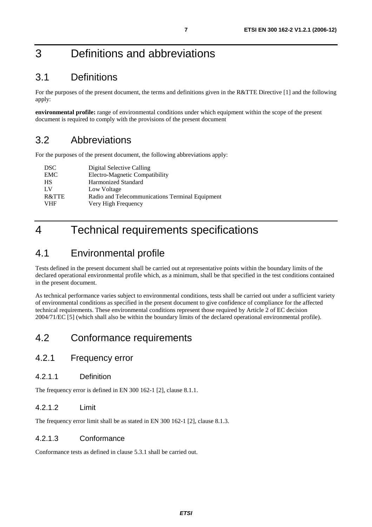## 3 Definitions and abbreviations

## 3.1 Definitions

For the purposes of the present document, the terms and definitions given in the R&TTE Directive [1] and the following apply:

**environmental profile:** range of environmental conditions under which equipment within the scope of the present document is required to comply with the provisions of the present document

## 3.2 Abbreviations

For the purposes of the present document, the following abbreviations apply:

| <b>DSC</b> | Digital Selective Calling                       |
|------------|-------------------------------------------------|
| EMC        | Electro-Magnetic Compatibility                  |
| <b>HS</b>  | Harmonized Standard                             |
| LV         | Low Voltage                                     |
| R&TTE      | Radio and Telecommunications Terminal Equipment |
| <b>VHF</b> | Very High Frequency                             |
|            |                                                 |

## 4 Technical requirements specifications

## 4.1 Environmental profile

Tests defined in the present document shall be carried out at representative points within the boundary limits of the declared operational environmental profile which, as a minimum, shall be that specified in the test conditions contained in the present document.

As technical performance varies subject to environmental conditions, tests shall be carried out under a sufficient variety of environmental conditions as specified in the present document to give confidence of compliance for the affected technical requirements. These environmental conditions represent those required by Article 2 of EC decision 2004/71/EC [5] (which shall also be within the boundary limits of the declared operational environmental profile).

## 4.2 Conformance requirements

## 4.2.1 Frequency error

### 4.2.1.1 Definition

The frequency error is defined in EN 300 162-1 [2], clause 8.1.1.

## 4.2.1.2 Limit

The frequency error limit shall be as stated in EN 300 162-1 [2], clause 8.1.3.

### 4.2.1.3 Conformance

Conformance tests as defined in clause 5.3.1 shall be carried out.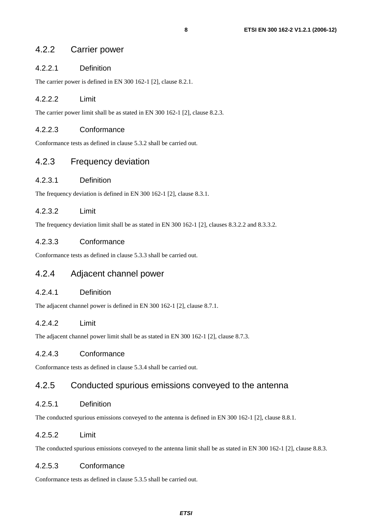## 4.2.2.1 Definition

The carrier power is defined in EN 300 162-1 [2], clause 8.2.1.

## 4.2.2.2 Limit

The carrier power limit shall be as stated in EN 300 162-1 [2], clause 8.2.3.

## 4.2.2.3 Conformance

Conformance tests as defined in clause 5.3.2 shall be carried out.

## 4.2.3 Frequency deviation

### 4.2.3.1 Definition

The frequency deviation is defined in EN 300 162-1 [2], clause 8.3.1.

## 4.2.3.2 Limit

The frequency deviation limit shall be as stated in EN 300 162-1 [2], clauses 8.3.2.2 and 8.3.3.2.

### 4.2.3.3 Conformance

Conformance tests as defined in clause 5.3.3 shall be carried out.

## 4.2.4 Adjacent channel power

### 4.2.4.1 Definition

The adjacent channel power is defined in EN 300 162-1 [2], clause 8.7.1.

## 4.2.4.2 Limit

The adjacent channel power limit shall be as stated in EN 300 162-1 [2], clause 8.7.3.

### 4.2.4.3 Conformance

Conformance tests as defined in clause 5.3.4 shall be carried out.

## 4.2.5 Conducted spurious emissions conveyed to the antenna

### 4.2.5.1 Definition

The conducted spurious emissions conveyed to the antenna is defined in EN 300 162-1 [2], clause 8.8.1.

### 4.2.5.2 Limit

The conducted spurious emissions conveyed to the antenna limit shall be as stated in EN 300 162-1 [2], clause 8.8.3.

### 4.2.5.3 Conformance

Conformance tests as defined in clause 5.3.5 shall be carried out.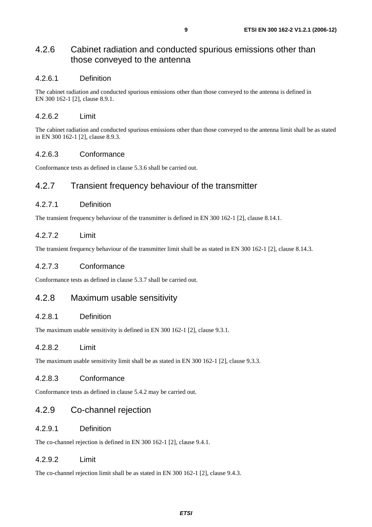## 4.2.6 Cabinet radiation and conducted spurious emissions other than those conveyed to the antenna

#### 4.2.6.1 Definition

The cabinet radiation and conducted spurious emissions other than those conveyed to the antenna is defined in EN 300 162-1 [2], clause 8.9.1.

#### 4.2.6.2 Limit

The cabinet radiation and conducted spurious emissions other than those conveyed to the antenna limit shall be as stated in EN 300 162-1 [2], clause 8.9.3.

#### 4.2.6.3 Conformance

Conformance tests as defined in clause 5.3.6 shall be carried out.

## 4.2.7 Transient frequency behaviour of the transmitter

#### 4.2.7.1 Definition

The transient frequency behaviour of the transmitter is defined in EN 300 162-1 [2], clause 8.14.1.

### 4.2.7.2 Limit

The transient frequency behaviour of the transmitter limit shall be as stated in EN 300 162-1 [2], clause 8.14.3.

#### 4.2.7.3 Conformance

Conformance tests as defined in clause 5.3.7 shall be carried out.

## 4.2.8 Maximum usable sensitivity

#### 4.2.8.1 Definition

The maximum usable sensitivity is defined in EN 300 162-1 [2], clause 9.3.1.

#### 4.2.8.2 Limit

The maximum usable sensitivity limit shall be as stated in EN 300 162-1 [2], clause 9.3.3.

#### 4.2.8.3 Conformance

Conformance tests as defined in clause 5.4.2 may be carried out.

## 4.2.9 Co-channel rejection

#### 4.2.9.1 Definition

The co-channel rejection is defined in EN 300 162-1 [2], clause 9.4.1.

#### 4.2.9.2 Limit

The co-channel rejection limit shall be as stated in EN 300 162-1 [2], clause 9.4.3.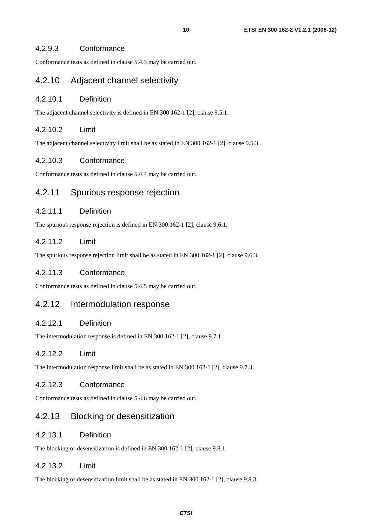Conformance tests as defined in clause 5.4.3 may be carried out.

## 4.2.10 Adjacent channel selectivity

#### 4.2.10.1 Definition

The adjacent channel selectivity is defined in EN 300 162-1 [2], clause 9.5.1.

### 4.2.10.2 Limit

The adjacent channel selectivity limit shall be as stated in EN 300 162-1 [2], clause 9.5.3.

### 4.2.10.3 Conformance

Conformance tests as defined in clause 5.4.4 may be carried out.

## 4.2.11 Spurious response rejection

### 4.2.11.1 Definition

The spurious response rejection is defined in EN 300 162-1 [2], clause 9.6.1.

## 4.2.11.2 Limit

The spurious response rejection limit shall be as stated in EN 300 162-1 [2], clause 9.6.3.

### 4.2.11.3 Conformance

Conformance tests as defined in clause 5.4.5 may be carried out.

## 4.2.12 Intermodulation response

### 4.2.12.1 Definition

The intermodulation response is defined in EN 300 162-1 [2], clause 9.7.1.

### 4.2.12.2 Limit

The intermodulation response limit shall be as stated in EN 300 162-1 [2], clause 9.7.3.

#### 4.2.12.3 Conformance

Conformance tests as defined in clause 5.4.6 may be carried out.

## 4.2.13 Blocking or desensitization

## 4.2.13.1 Definition

The blocking or desensitization is defined in EN 300 162-1 [2], clause 9.8.1.

### 4.2.13.2 Limit

The blocking or desensitization limit shall be as stated in EN 300 162-1 [2], clause 9.8.3.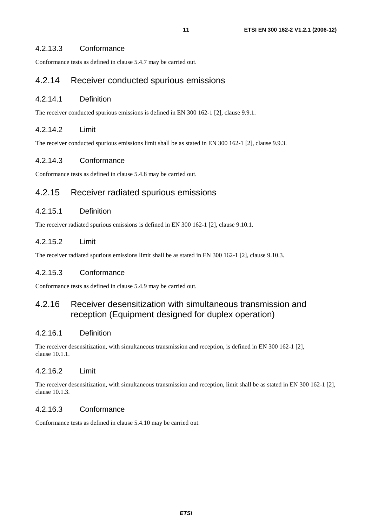## 4.2.13.3 Conformance

Conformance tests as defined in clause 5.4.7 may be carried out.

## 4.2.14 Receiver conducted spurious emissions

#### 4.2.14.1 Definition

The receiver conducted spurious emissions is defined in EN 300 162-1 [2], clause 9.9.1.

### 4.2.14.2 Limit

The receiver conducted spurious emissions limit shall be as stated in EN 300 162-1 [2], clause 9.9.3.

#### 4.2.14.3 Conformance

Conformance tests as defined in clause 5.4.8 may be carried out.

## 4.2.15 Receiver radiated spurious emissions

#### 4.2.15.1 Definition

The receiver radiated spurious emissions is defined in EN 300 162-1 [2], clause 9.10.1.

### 4.2.15.2 Limit

The receiver radiated spurious emissions limit shall be as stated in EN 300 162-1 [2], clause 9.10.3.

#### 4.2.15.3 Conformance

Conformance tests as defined in clause 5.4.9 may be carried out.

## 4.2.16 Receiver desensitization with simultaneous transmission and reception (Equipment designed for duplex operation)

### 4.2.16.1 Definition

The receiver desensitization, with simultaneous transmission and reception, is defined in EN 300 162-1 [2], clause 10.1.1.

### 4.2.16.2 Limit

The receiver desensitization, with simultaneous transmission and reception, limit shall be as stated in EN 300 162-1 [2], clause 10.1.3.

#### 4.2.16.3 Conformance

Conformance tests as defined in clause 5.4.10 may be carried out.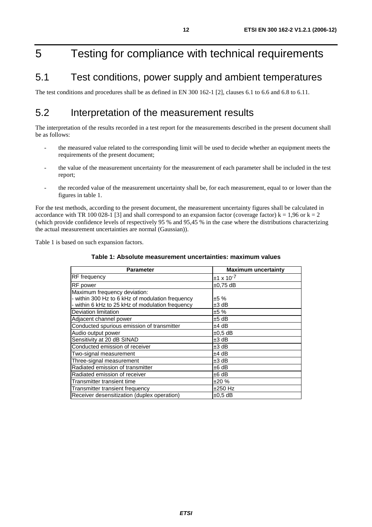## 5 Testing for compliance with technical requirements

## 5.1 Test conditions, power supply and ambient temperatures

The test conditions and procedures shall be as defined in EN 300 162-1 [2], clauses 6.1 to 6.6 and 6.8 to 6.11.

## 5.2 Interpretation of the measurement results

The interpretation of the results recorded in a test report for the measurements described in the present document shall be as follows:

- the measured value related to the corresponding limit will be used to decide whether an equipment meets the requirements of the present document;
- the value of the measurement uncertainty for the measurement of each parameter shall be included in the test report;
- the recorded value of the measurement uncertainty shall be, for each measurement, equal to or lower than the figures in table 1.

For the test methods, according to the present document, the measurement uncertainty figures shall be calculated in accordance with TR 100 028-1 [3] and shall correspond to an expansion factor (coverage factor)  $k = 1,96$  or  $k = 2$ (which provide confidence levels of respectively 95 % and 95,45 % in the case where the distributions characterizing the actual measurement uncertainties are normal (Gaussian)).

Table 1 is based on such expansion factors.

#### **Table 1: Absolute measurement uncertainties: maximum values**

| <b>Parameter</b>                                 | <b>Maximum uncertainty</b> |
|--------------------------------------------------|----------------------------|
| <b>RF</b> frequency                              | $±1 \times 10^{-7}$        |
| RF power                                         | $±0,75$ dB                 |
| Maximum frequency deviation:                     |                            |
| - within 300 Hz to 6 kHz of modulation frequency | ±5 %                       |
| - within 6 kHz to 25 kHz of modulation frequency | ±3 dB                      |
| Deviation limitation                             | ±5 %                       |
| Adjacent channel power                           | $±5$ dB                    |
| Conducted spurious emission of transmitter       | ±4 dB                      |
| Audio output power                               | $\pm 0.5$ dB               |
| Sensitivity at 20 dB SINAD                       | $±3$ dB                    |
| Conducted emission of receiver                   | ±3 dB                      |
| Two-signal measurement                           | ±4 dB                      |
| Three-signal measurement                         | ±3 dB                      |
| Radiated emission of transmitter                 | ±6 dB                      |
| Radiated emission of receiver                    | ±6 dB                      |
| Transmitter transient time                       | ±20%                       |
| Transmitter transient frequency                  | $±250$ Hz                  |
| Receiver desensitization (duplex operation)      | $\pm 0.5$ dB               |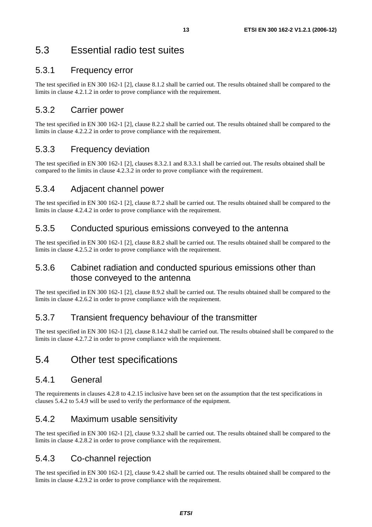## 5.3 Essential radio test suites

## 5.3.1 Frequency error

The test specified in EN 300 162-1 [2], clause 8.1.2 shall be carried out. The results obtained shall be compared to the limits in clause 4.2.1.2 in order to prove compliance with the requirement.

## 5.3.2 Carrier power

The test specified in EN 300 162-1 [2], clause 8.2.2 shall be carried out. The results obtained shall be compared to the limits in clause 4.2.2.2 in order to prove compliance with the requirement.

## 5.3.3 Frequency deviation

The test specified in EN 300 162-1 [2], clauses 8.3.2.1 and 8.3.3.1 shall be carried out. The results obtained shall be compared to the limits in clause 4.2.3.2 in order to prove compliance with the requirement.

## 5.3.4 Adjacent channel power

The test specified in EN 300 162-1 [2], clause 8.7.2 shall be carried out. The results obtained shall be compared to the limits in clause 4.2.4.2 in order to prove compliance with the requirement.

## 5.3.5 Conducted spurious emissions conveyed to the antenna

The test specified in EN 300 162-1 [2], clause 8.8.2 shall be carried out. The results obtained shall be compared to the limits in clause 4.2.5.2 in order to prove compliance with the requirement.

## 5.3.6 Cabinet radiation and conducted spurious emissions other than those conveyed to the antenna

The test specified in EN 300 162-1 [2], clause 8.9.2 shall be carried out. The results obtained shall be compared to the limits in clause 4.2.6.2 in order to prove compliance with the requirement.

## 5.3.7 Transient frequency behaviour of the transmitter

The test specified in EN 300 162-1 [2], clause 8.14.2 shall be carried out. The results obtained shall be compared to the limits in clause 4.2.7.2 in order to prove compliance with the requirement.

## 5.4 Other test specifications

## 5.4.1 General

The requirements in clauses 4.2.8 to 4.2.15 inclusive have been set on the assumption that the test specifications in clauses 5.4.2 to 5.4.9 will be used to verify the performance of the equipment.

## 5.4.2 Maximum usable sensitivity

The test specified in EN 300 162-1 [2], clause 9.3.2 shall be carried out. The results obtained shall be compared to the limits in clause 4.2.8.2 in order to prove compliance with the requirement.

## 5.4.3 Co-channel rejection

The test specified in EN 300 162-1 [2], clause 9.4.2 shall be carried out. The results obtained shall be compared to the limits in clause 4.2.9.2 in order to prove compliance with the requirement.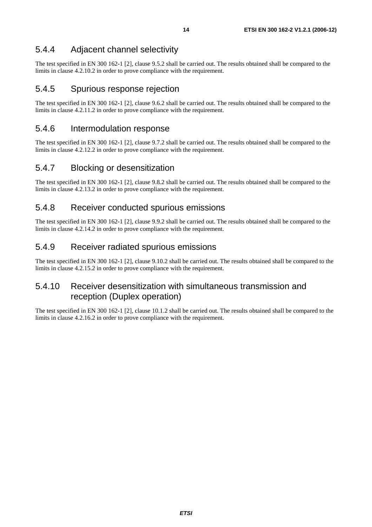## 5.4.4 Adjacent channel selectivity

The test specified in EN 300 162-1 [2], clause 9.5.2 shall be carried out. The results obtained shall be compared to the limits in clause 4.2.10.2 in order to prove compliance with the requirement.

## 5.4.5 Spurious response rejection

The test specified in EN 300 162-1 [2], clause 9.6.2 shall be carried out. The results obtained shall be compared to the limits in clause 4.2.11.2 in order to prove compliance with the requirement.

## 5.4.6 Intermodulation response

The test specified in EN 300 162-1 [2], clause 9.7.2 shall be carried out. The results obtained shall be compared to the limits in clause 4.2.12.2 in order to prove compliance with the requirement.

## 5.4.7 Blocking or desensitization

The test specified in EN 300 162-1 [2], clause 9.8.2 shall be carried out. The results obtained shall be compared to the limits in clause 4.2.13.2 in order to prove compliance with the requirement.

## 5.4.8 Receiver conducted spurious emissions

The test specified in EN 300 162-1 [2], clause 9.9.2 shall be carried out. The results obtained shall be compared to the limits in clause 4.2.14.2 in order to prove compliance with the requirement.

## 5.4.9 Receiver radiated spurious emissions

The test specified in EN 300 162-1 [2], clause 9.10.2 shall be carried out. The results obtained shall be compared to the limits in clause 4.2.15.2 in order to prove compliance with the requirement.

## 5.4.10 Receiver desensitization with simultaneous transmission and reception (Duplex operation)

The test specified in EN 300 162-1 [2], clause 10.1.2 shall be carried out. The results obtained shall be compared to the limits in clause 4.2.16.2 in order to prove compliance with the requirement.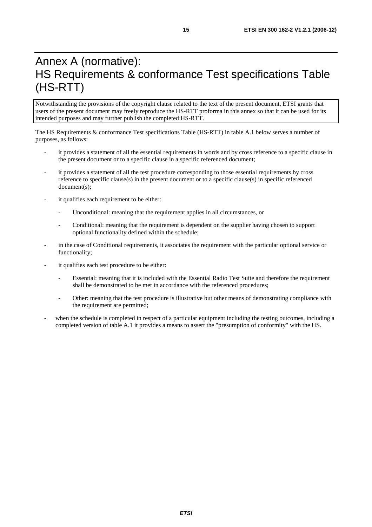## Annex A (normative): HS Requirements & conformance Test specifications Table (HS-RTT)

Notwithstanding the provisions of the copyright clause related to the text of the present document, ETSI grants that users of the present document may freely reproduce the HS-RTT proforma in this annex so that it can be used for its intended purposes and may further publish the completed HS-RTT.

The HS Requirements & conformance Test specifications Table (HS-RTT) in table A.1 below serves a number of purposes, as follows:

- it provides a statement of all the essential requirements in words and by cross reference to a specific clause in the present document or to a specific clause in a specific referenced document;
- it provides a statement of all the test procedure corresponding to those essential requirements by cross reference to specific clause(s) in the present document or to a specific clause(s) in specific referenced document(s);
- it qualifies each requirement to be either:
	- Unconditional: meaning that the requirement applies in all circumstances, or
	- Conditional: meaning that the requirement is dependent on the supplier having chosen to support optional functionality defined within the schedule;
- in the case of Conditional requirements, it associates the requirement with the particular optional service or functionality;
- it qualifies each test procedure to be either:
	- Essential: meaning that it is included with the Essential Radio Test Suite and therefore the requirement shall be demonstrated to be met in accordance with the referenced procedures;
	- Other: meaning that the test procedure is illustrative but other means of demonstrating compliance with the requirement are permitted;
- when the schedule is completed in respect of a particular equipment including the testing outcomes, including a completed version of table A.1 it provides a means to assert the "presumption of conformity" with the HS.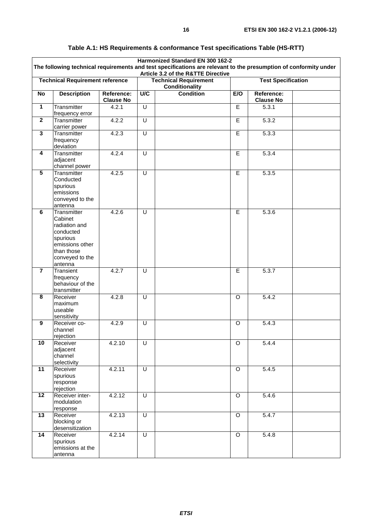| Harmonized Standard EN 300 162-2<br>The following technical requirements and test specifications are relevant to the presumption of conformity under<br>Article 3.2 of the R&TTE Directive |                                                                                                                                 |                                                |                         |                           |                |                                |  |
|--------------------------------------------------------------------------------------------------------------------------------------------------------------------------------------------|---------------------------------------------------------------------------------------------------------------------------------|------------------------------------------------|-------------------------|---------------------------|----------------|--------------------------------|--|
| <b>Technical Requirement reference</b>                                                                                                                                                     |                                                                                                                                 | <b>Technical Requirement</b><br>Conditionality |                         | <b>Test Specification</b> |                |                                |  |
| <b>No</b>                                                                                                                                                                                  | <b>Description</b>                                                                                                              | Reference:<br><b>Clause No</b>                 | U/C                     | <b>Condition</b>          | E/O            | Reference:<br><b>Clause No</b> |  |
| $\mathbf{1}$                                                                                                                                                                               | Transmitter<br>frequency error                                                                                                  | 4.2.1                                          | U                       |                           | E              | 5.3.1                          |  |
| $\overline{2}$                                                                                                                                                                             | Transmitter<br>carrier power                                                                                                    | 4.2.2                                          | $\overline{U}$          |                           | $\overline{E}$ | 5.3.2                          |  |
| 3                                                                                                                                                                                          | Transmitter<br>frequency<br>deviation                                                                                           | 4.2.3                                          | U                       |                           | E              | 5.3.3                          |  |
| $\overline{\mathbf{4}}$                                                                                                                                                                    | Transmitter<br>adjacent<br>channel power                                                                                        | 4.2.4                                          | U                       |                           | $\overline{E}$ | 5.3.4                          |  |
| $5\phantom{.0}$                                                                                                                                                                            | Transmitter<br>Conducted<br>spurious<br>emissions<br>conveyed to the<br>antenna                                                 | 4.2.5                                          | U                       |                           | E.             | 5.3.5                          |  |
| 6                                                                                                                                                                                          | Transmitter<br>Cabinet<br>radiation and<br>conducted<br>spurious<br>emissions other<br>than those<br>conveyed to the<br>antenna | 4.2.6                                          | U                       |                           | E              | 5.3.6                          |  |
| $\overline{\mathbf{7}}$                                                                                                                                                                    | Transient<br>frequency<br>behaviour of the<br>transmitter                                                                       | 4.2.7                                          | U                       |                           | E              | 5.3.7                          |  |
| 8                                                                                                                                                                                          | Receiver<br>maximum<br>useable<br>sensitivity                                                                                   | 4.2.8                                          | U                       |                           | O              | 5.4.2                          |  |
| 9                                                                                                                                                                                          | Receiver co-<br>channel<br>rejection                                                                                            | 4.2.9                                          | U                       |                           | O              | 5.4.3                          |  |
| 10                                                                                                                                                                                         | Receiver<br>adjacent<br>channel<br>selectivity                                                                                  | 4.2.10                                         | $\overline{\mathsf{U}}$ |                           | $\overline{O}$ | 5.4.4                          |  |
| 11                                                                                                                                                                                         | Receiver<br>spurious<br>response<br>rejection                                                                                   | 4.2.11                                         | $\overline{U}$          |                           | $\overline{O}$ | 5.4.5                          |  |
| $\overline{12}$                                                                                                                                                                            | Receiver inter-<br>modulation<br>response                                                                                       | 4.2.12                                         | $\overline{U}$          |                           | $\overline{O}$ | 5.4.6                          |  |
| 13                                                                                                                                                                                         | Receiver<br>blocking or<br>desensitization                                                                                      | 4.2.13                                         | U                       |                           | $\mathsf O$    | 5.4.7                          |  |
| 14                                                                                                                                                                                         | Receiver<br>spurious<br>emissions at the<br>antenna                                                                             | 4.2.14                                         | $\overline{U}$          |                           | $\overline{O}$ | 5.4.8                          |  |

## **Table A.1: HS Requirements & conformance Test specifications Table (HS-RTT)**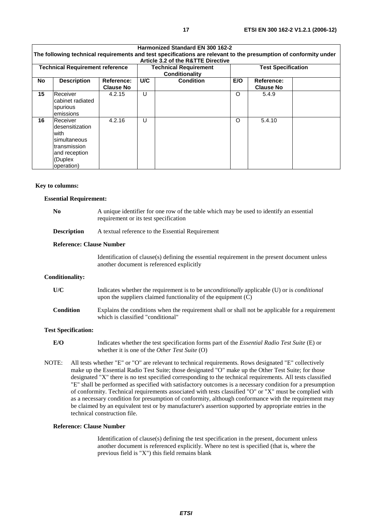|                                        |                                                                                                                |                                |                                                | Harmonized Standard EN 300 162-2<br>The following technical requirements and test specifications are relevant to the presumption of conformity under<br>Article 3.2 of the R&TTE Directive |                           |                                |  |
|----------------------------------------|----------------------------------------------------------------------------------------------------------------|--------------------------------|------------------------------------------------|--------------------------------------------------------------------------------------------------------------------------------------------------------------------------------------------|---------------------------|--------------------------------|--|
| <b>Technical Requirement reference</b> |                                                                                                                |                                | <b>Technical Requirement</b><br>Conditionality |                                                                                                                                                                                            | <b>Test Specification</b> |                                |  |
| No                                     | <b>Description</b>                                                                                             | Reference:<br><b>Clause No</b> | U/C                                            | <b>Condition</b>                                                                                                                                                                           | E/O                       | Reference:<br><b>Clause No</b> |  |
| 15                                     | Receiver<br>cabinet radiated<br>spurious<br>emissions                                                          | 4.2.15                         | U                                              |                                                                                                                                                                                            | $\circ$                   | 5.4.9                          |  |
| 16                                     | Receiver<br>desensitization<br>with<br>simultaneous<br>transmission<br>and reception<br>(Duplex)<br>operation) | 4.2.16                         | U                                              |                                                                                                                                                                                            | $\circ$                   | 5.4.10                         |  |

#### **Key to columns:**

#### **Essential Requirement:**

| N <sub>0</sub>                                                                                                                                                                                                                                                                                                                                                                                                                                                                                                                                                                                                                                             |                            | A unique identifier for one row of the table which may be used to identify an essential<br>requirement or its test specification                                           |  |  |  |  |
|------------------------------------------------------------------------------------------------------------------------------------------------------------------------------------------------------------------------------------------------------------------------------------------------------------------------------------------------------------------------------------------------------------------------------------------------------------------------------------------------------------------------------------------------------------------------------------------------------------------------------------------------------------|----------------------------|----------------------------------------------------------------------------------------------------------------------------------------------------------------------------|--|--|--|--|
|                                                                                                                                                                                                                                                                                                                                                                                                                                                                                                                                                                                                                                                            | <b>Description</b>         | A textual reference to the Essential Requirement                                                                                                                           |  |  |  |  |
|                                                                                                                                                                                                                                                                                                                                                                                                                                                                                                                                                                                                                                                            |                            | <b>Reference: Clause Number</b>                                                                                                                                            |  |  |  |  |
|                                                                                                                                                                                                                                                                                                                                                                                                                                                                                                                                                                                                                                                            |                            | Identification of clause(s) defining the essential requirement in the present document unless<br>another document is referenced explicitly                                 |  |  |  |  |
| <b>Conditionality:</b>                                                                                                                                                                                                                                                                                                                                                                                                                                                                                                                                                                                                                                     |                            |                                                                                                                                                                            |  |  |  |  |
| U/C                                                                                                                                                                                                                                                                                                                                                                                                                                                                                                                                                                                                                                                        |                            | Indicates whether the requirement is to be <i>unconditionally</i> applicable (U) or is <i>conditional</i><br>upon the suppliers claimed functionality of the equipment (C) |  |  |  |  |
| <b>Condition</b>                                                                                                                                                                                                                                                                                                                                                                                                                                                                                                                                                                                                                                           |                            | Explains the conditions when the requirement shall or shall not be applicable for a requirement<br>which is classified "conditional"                                       |  |  |  |  |
|                                                                                                                                                                                                                                                                                                                                                                                                                                                                                                                                                                                                                                                            | <b>Test Specification:</b> |                                                                                                                                                                            |  |  |  |  |
| E/O                                                                                                                                                                                                                                                                                                                                                                                                                                                                                                                                                                                                                                                        |                            | Indicates whether the test specification forms part of the Essential Radio Test Suite (E) or<br>whether it is one of the Other Test Suite (O)                              |  |  |  |  |
| NOTE:<br>All tests whether "E" or "O" are relevant to technical requirements. Rows designated "E" collectively<br>make up the Essential Radio Test Suite; those designated "O" make up the Other Test Suite; for those<br>designated "X" there is no test specified corresponding to the technical requirements. All tests classified<br>$\mathcal{C}$ and $\mathcal{C}$ and $\mathcal{C}$ and $\mathcal{C}$ and $\mathcal{C}$ and $\mathcal{C}$ and $\mathcal{C}$ and $\mathcal{C}$ and $\mathcal{C}$ and $\mathcal{C}$ and $\mathcal{C}$ and $\mathcal{C}$ and $\mathcal{C}$ and $\mathcal{C}$ and $\mathcal{C}$ and $\mathcal{C}$ and $\mathcal{C}$ and |                            |                                                                                                                                                                            |  |  |  |  |

"E" shall be performed as specified with satisfactory outcomes is a necessary condition for a presumption of conformity. Technical requirements associated with tests classified "O" or "X" must be complied with as a necessary condition for presumption of conformity, although conformance with the requirement may be claimed by an equivalent test or by manufacturer's assertion supported by appropriate entries in the technical construction file.

#### **Reference: Clause Number**

 Identification of clause(s) defining the test specification in the present, document unless another document is referenced explicitly. Where no test is specified (that is, where the previous field is "X") this field remains blank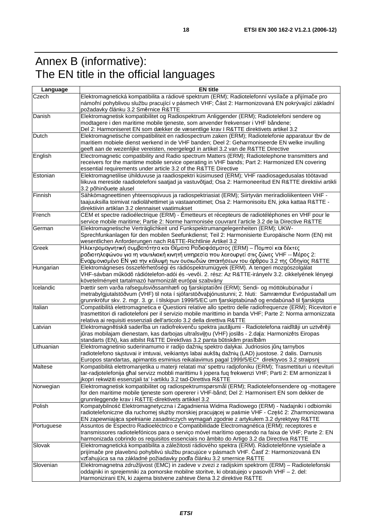## Annex B (informative): The EN title in the official languages

| Language   | <b>EN title</b>                                                                                                                                                                                                                                                                                            |  |  |  |  |  |
|------------|------------------------------------------------------------------------------------------------------------------------------------------------------------------------------------------------------------------------------------------------------------------------------------------------------------|--|--|--|--|--|
| Czech      | Elektromagnetická kompatibilita a rádiové spektrum (ERM); Radiotelefonní vysílače a přijímače pro<br>námořní pohyblivou službu pracující v pásmech VHF; Část 2: Harmonizovaná EN pokrývající základní<br>požadavky článku 3.2 Směrnice R&TTE                                                               |  |  |  |  |  |
| Danish     | Elektromagnetisk kompatibilitet og Radiospektrum Anliggender (ERM); Radiotelefoni sendere og<br>modtagere i den maritime mobile tjeneste, som anvender frekvenser i VHF båndene;<br>Del 2: Harmoniseret EN som dækker de væsentlige krav I R&TTE direktivets artikel 3.2                                   |  |  |  |  |  |
| Dutch      | Elektromagnetische compatibiliteit en radiospectrum zaken (ERM); Radiotelefonie apparatuur tbv de<br>maritiem mobiele dienst werkend in de VHF banden; Deel 2: Geharmoniseerde EN welke invulling<br>geeft aan de wezenlijke vereisten, neergelegd in artikel 3.2 van de R&TTE Directive                   |  |  |  |  |  |
| English    | Electromagnetic compatibility and Radio spectrum Matters (ERM); Radiotelephone transmitters and<br>receivers for the maritime mobile service operating in VHF bands; Part 2: Harmonized EN covering<br>essential requirements under article 3.2 of the R&TTE Directive                                     |  |  |  |  |  |
| Estonian   | Elektromagnetilise ühilduvuse ja raadiospektri küsimused (ERM); VHF raadiosagedusalas töötavad<br>liikuva mereside raadiotelefoni saatjad ja vastuvõtjad; Osa 2: Harmoneeritud EN R&TTE direktiivi artikli<br>3.2 põhinõuete alusel                                                                        |  |  |  |  |  |
| Finnish    | Sähkömagneettinen yhteensopivuus ja radiospektriasiat (ERM); Siirtyvän meriradioliikenteen VHF -<br>taajuuksilla toimivat radiolähettimet ja vastaanottimet; Osa 2: Harmonisoitu EN, joka kattaa R&TTE -<br>direktiivin artiklan 3.2 olennaiset vaatimukset                                                |  |  |  |  |  |
| French     | CEM et spectre radioélectrique (ERM) - Émetteurs et récepteurs de radiotéléphones en VHF pour le<br>service mobile maritime; Partie 2: Norme harmonisée couvrant l'article 3.2 de la Directive R&TTE                                                                                                       |  |  |  |  |  |
| German     | Elektromagnetische Verträglichkeit und Funkspektrumangelegenheiten (ERM); UKW-<br>Sprechfunkanlagen für den mobilen Seefunkdienst; Teil 2: Harmonisierte Europäische Norm (EN) mit<br>wesentlichen Anforderungen nach R&TTE-Richtlinie Artikel 3.2                                                         |  |  |  |  |  |
| Greek      | Ηλεκτρομαγνητική συμβατότητα και Θέματα Ραδιοφάσματος (ERM) – Πομποί και δέκτες<br>ραδιοτηλεφώνου για τη ναυτιλιακή κινητή υπηρεσία που λειτουργεί στις ζώνες VHF -- Μέρος 2:<br>Εναρμονισμένο ΕΝ για την κάλυψη των ουσιωδών απαιτήσεων του άρθρου 3.2 της Οδηγίας R&TTE                                  |  |  |  |  |  |
| Hungarian  | Elektromágneses összeférhetőségi és rádióspektrumügyek (ERM). A tengeri mozgószolgálat<br>VHF-sávban működő rádiótelefon-adói és -vevői. 2. rész: Az R&TTE-irányelv 3.2. cikkelyének lényegi<br>követelményeit tartalmazó harmonizált európai szabvány                                                     |  |  |  |  |  |
| Icelandic  | Þættir sem varða rafsegulsviðssamhæfi og fjarskiptatíðni (ERM); Sendi- og móttökubúnaður í<br>metrabylgjutalstöðvum (VHF) til nota í sjófarstöðvaþjónustunni; 2. hluti: Samræmdur Evrópustaðall um<br>grunnkröfur skv. 2. mgr. 3. gr. í tilskipun 1999/5/EC um fjarskiptabúnað og endabúnað til fjarskipta |  |  |  |  |  |
| Italian    | Compatibilità elettromagnetica e Questioni relative allo spettro delle radiofrequenze (ERM); Ricevitori e<br>trasmettitori di radiotelefoni per il servizio mobile marittimo in banda VHF; Parte 2: Norma armonizzata<br>relativa ai requisiti essenziali dell'articolo 3.2 della direttiva R&TTE          |  |  |  |  |  |
| Latvian    | Elektromagnētiskā saderība un radiofrekvenču spektra jautājumi - Radiotelefona raidītāji un uztvērēji<br>jūras mobilajam dienestam, kas darbojas ultraīsviļņu (VHF) joslās - 2.daļa: Harmonizēts Eiropas<br>standarts (EN), kas atbilst R&TTE Direktīvas 3.2 panta būtiskām prasībām                       |  |  |  |  |  |
| Lithuanian | Elektromagnetinio suderinamumo ir radijo dažnių spektro dalykai. Judriosios jūrų tarnybos<br>radiotelefono siųstuvai ir imtuvai, veikiantys labai aukštų dažnių (LAD) juostose. 2 dalis. Darnusis<br>Europos standartas, apimantis esminius reikalavimus pagal 1999/5/EC* direktyvos 3.2 straipsnį         |  |  |  |  |  |
| Maltese    | Kompatibilità elettromanjetika u materji relatati ma' spettru radjofoniku (ERM); Trasmettituri u ricevituri<br>tar-radjotelefonija għal servizz mobbli marittimu li jopera fuq frekwenzi VHF; Parti 2: EM armonizzat li<br>jkopri rekwiziti essenzjali ta' l-artiklu 3.2 tad-Direttiva R&TTE               |  |  |  |  |  |
| Norwegian  | Elektromagnetisk kompatibilitet og radiospektrumspørsmål (ERM); Radiotelefonsendere og -mottagere<br>for den maritime mobile tjeneste som opererer i VHF-bånd; Del 2: Harmonisert EN som dekker de<br>grunnleggende krav i R&TTE-direktivets artikkel 3.2                                                  |  |  |  |  |  |
| Polish     | Kompatybilność Elektromagnetyczna i Zagadnienia Widma Radiowego (ERM) - Nadajniki i odbiorniki<br>radiotelefoniczne dla ruchomej służby morskiej pracującej w paśmie VHF - Część 2: Zharmonizowana<br>EN zapewniająca spełnianie zasadniczych wymagań zgodnie z artykułem 3.2 dyrektywy R&TTE              |  |  |  |  |  |
| Portuguese | Assuntos de Espectro Radioeléctrico e Compatibilidade Electromagnética (ERM); receptores e<br>transmissores radiotelefónicos para o serviço móvel marítimo operando na faixa de VHF; Parte 2: EN<br>harmonizada cobrindo os requisitos essenciais no âmbito do Artigo 3.2 da Directiva R&TTE               |  |  |  |  |  |
| Slovak     | Elektromagnetická kompatibilita a záležitosti rádiového spektra (ERM). Rádiotelefónne vysielače a<br>prijímače pre plavebnú pohyblivú službu pracujúce v pásmach VHF. Časť 2: Harmonizovaná EN<br>vzťahujúca sa na základné požiadavky podľa článku 3.2 smernice R&TTE                                     |  |  |  |  |  |
| Slovenian  | Elektromagnetna združljivost (EMC) in zadeve v zvezi z radijskim spektrom (ERM) - Radiotelefonski<br>oddajniki in sprejemniki za pomorske mobilne storitve, ki obratujejo v pasovih VHF - 2. del:<br>Harmonizirani EN, ki zajema bistvene zahteve člena 3.2 direktive R&TTE                                |  |  |  |  |  |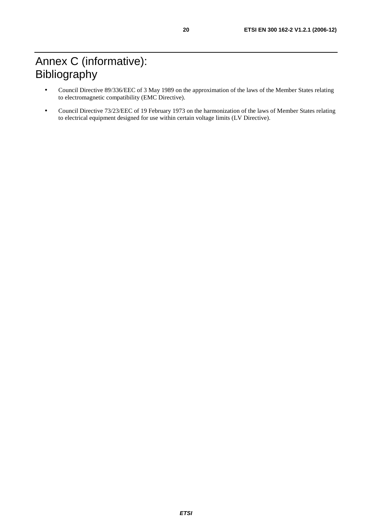- Council Directive 89/336/EEC of 3 May 1989 on the approximation of the laws of the Member States relating to electromagnetic compatibility (EMC Directive).
- Council Directive 73/23/EEC of 19 February 1973 on the harmonization of the laws of Member States relating to electrical equipment designed for use within certain voltage limits (LV Directive).